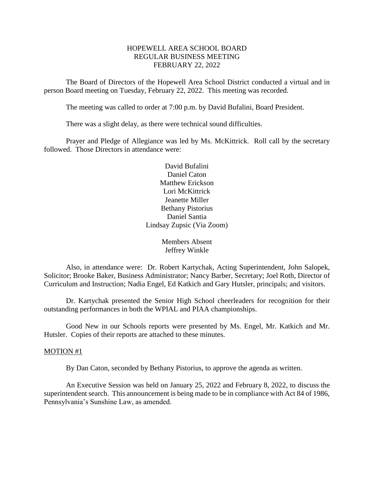#### HOPEWELL AREA SCHOOL BOARD REGULAR BUSINESS MEETING FEBRUARY 22, 2022

The Board of Directors of the Hopewell Area School District conducted a virtual and in person Board meeting on Tuesday, February 22, 2022. This meeting was recorded.

The meeting was called to order at 7:00 p.m. by David Bufalini, Board President.

There was a slight delay, as there were technical sound difficulties.

Prayer and Pledge of Allegiance was led by Ms. McKittrick. Roll call by the secretary followed. Those Directors in attendance were:

> David Bufalini Daniel Caton Matthew Erickson Lori McKittrick Jeanette Miller Bethany Pistorius Daniel Santia Lindsay Zupsic (Via Zoom)

> > Members Absent Jeffrey Winkle

Also, in attendance were: Dr. Robert Kartychak, Acting Superintendent, John Salopek, Solicitor; Brooke Baker, Business Administrator; Nancy Barber, Secretary; Joel Roth, Director of Curriculum and Instruction; Nadia Engel, Ed Katkich and Gary Hutsler, principals; and visitors.

Dr. Kartychak presented the Senior High School cheerleaders for recognition for their outstanding performances in both the WPIAL and PIAA championships.

Good New in our Schools reports were presented by Ms. Engel, Mr. Katkich and Mr. Hutsler. Copies of their reports are attached to these minutes.

#### MOTION #1

By Dan Caton, seconded by Bethany Pistorius, to approve the agenda as written.

An Executive Session was held on January 25, 2022 and February 8, 2022, to discuss the superintendent search. This announcement is being made to be in compliance with Act 84 of 1986, Pennsylvania's Sunshine Law, as amended.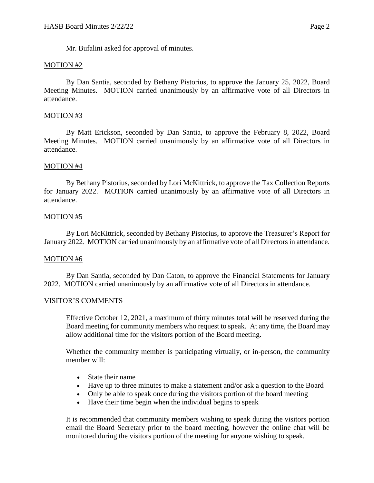Mr. Bufalini asked for approval of minutes.

## MOTION #2

By Dan Santia, seconded by Bethany Pistorius, to approve the January 25, 2022, Board Meeting Minutes. MOTION carried unanimously by an affirmative vote of all Directors in attendance.

## MOTION #3

By Matt Erickson, seconded by Dan Santia, to approve the February 8, 2022, Board Meeting Minutes. MOTION carried unanimously by an affirmative vote of all Directors in attendance.

#### MOTION #4

By Bethany Pistorius, seconded by Lori McKittrick, to approve the Tax Collection Reports for January 2022. MOTION carried unanimously by an affirmative vote of all Directors in attendance.

#### MOTION #5

By Lori McKittrick, seconded by Bethany Pistorius, to approve the Treasurer's Report for January 2022. MOTION carried unanimously by an affirmative vote of all Directors in attendance.

#### MOTION #6

By Dan Santia, seconded by Dan Caton, to approve the Financial Statements for January 2022. MOTION carried unanimously by an affirmative vote of all Directors in attendance.

#### VISITOR'S COMMENTS

Effective October 12, 2021, a maximum of thirty minutes total will be reserved during the Board meeting for community members who request to speak. At any time, the Board may allow additional time for the visitors portion of the Board meeting.

Whether the community member is participating virtually, or in-person, the community member will:

- State their name
- Have up to three minutes to make a statement and/or ask a question to the Board
- Only be able to speak once during the visitors portion of the board meeting
- Have their time begin when the individual begins to speak

It is recommended that community members wishing to speak during the visitors portion email the Board Secretary prior to the board meeting, however the online chat will be monitored during the visitors portion of the meeting for anyone wishing to speak.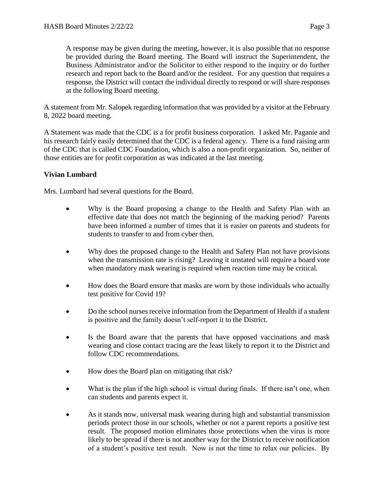A response may be given during the meeting, however, it is also possible that no response be provided during the Board meeting. The Board will instruct the Superintendent, the Business Administrator and/or the Solicitor to either respond to the inquiry or do further research and report back to the Board and/or the resident. For any question that requires a response, the District will contact the individual directly to respond or will share responses at the following Board meeting.

A statement from Mr. Salopek regarding information that was provided by a visitor at the February 8, 2022 board meeting.

A Statement was made that the CDC is a for profit business corporation. I asked Mr. Paganie and his research fairly easily determined that the CDC is a federal agency. There is a fund raising arm of the CDC that is called CDC Foundation, which is also a non-profit organization. So, neither of those entities are for profit corporation as was indicated at the last meeting.

# **Vivian Lumbard**

Mrs. Lumbard had several questions for the Board.

- Why is the Board proposing a change to the Health and Safety Plan with an effective date that does not match the beginning of the marking period? Parents have been informed a number of times that it is easier on parents and students for students to transfer to and from cyber then.
- Why does the proposed change to the Health and Safety Plan not have provisions when the transmission rate is rising? Leaving it unstated will require a board vote when mandatory mask wearing is required when reaction time may be critical.
- How does the Board ensure that masks are worn by those individuals who actually test positive for Covid 19?
- Do the school nurses receive information from the Department of Health if a student is positive and the family doesn't self-report it to the District.
- Is the Board aware that the parents that have opposed vaccinations and mask wearing and close contact tracing are the least likely to report it to the District and follow CDC recommendations.
- How does the Board plan on mitigating that risk?
- What is the plan if the high school is virtual during finals. If there isn't one, when can students and parents expect it.
- As it stands now, universal mask wearing during high and substantial transmission periods protect those in our schools, whether or not a parent reports a positive test result. The proposed motion eliminates those protections when the virus is more likely to be spread if there is not another way for the District to receive notification of a student's positive test result. Now is not the time to relax our policies. By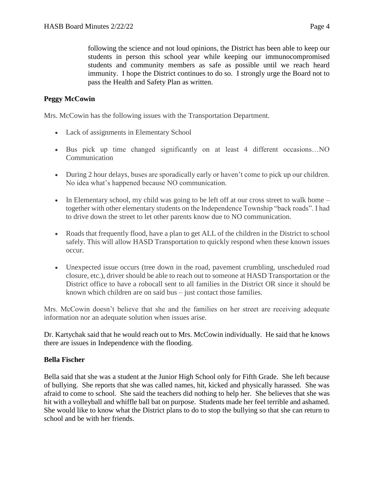following the science and not loud opinions, the District has been able to keep our students in person this school year while keeping our immunocompromised students and community members as safe as possible until we reach heard immunity. I hope the District continues to do so. I strongly urge the Board not to pass the Health and Safety Plan as written.

## **Peggy McCowin**

Mrs. McCowin has the following issues with the Transportation Department.

- Lack of assignments in Elementary School
- Bus pick up time changed significantly on at least 4 different occasions…NO Communication
- During 2 hour delays, buses are sporadically early or haven't come to pick up our children. No idea what's happened because NO communication.
- In Elementary school, my child was going to be left off at our cross street to walk home together with other elementary students on the Independence Township "back roads". I had to drive down the street to let other parents know due to NO communication.
- Roads that frequently flood, have a plan to get ALL of the children in the District to school safely. This will allow HASD Transportation to quickly respond when these known issues occur.
- Unexpected issue occurs (tree down in the road, pavement crumbling, unscheduled road closure, etc.), driver should be able to reach out to someone at HASD Transportation or the District office to have a robocall sent to all families in the District OR since it should be known which children are on said bus – just contact those families.

Mrs. McCowin doesn't believe that she and the families on her street are receiving adequate information nor an adequate solution when issues arise.

Dr. Kartychak said that he would reach out to Mrs. McCowin individually. He said that he knows there are issues in Independence with the flooding.

#### **Bella Fischer**

Bella said that she was a student at the Junior High School only for Fifth Grade. She left because of bullying. She reports that she was called names, hit, kicked and physically harassed. She was afraid to come to school. She said the teachers did nothing to help her. She believes that she was hit with a volleyball and whiffle ball bat on purpose. Students made her feel terrible and ashamed. She would like to know what the District plans to do to stop the bullying so that she can return to school and be with her friends.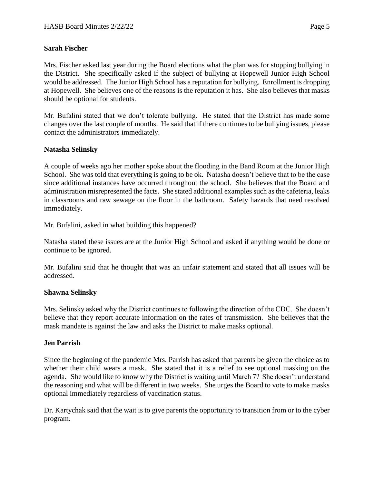## **Sarah Fischer**

Mrs. Fischer asked last year during the Board elections what the plan was for stopping bullying in the District. She specifically asked if the subject of bullying at Hopewell Junior High School would be addressed. The Junior High School has a reputation for bullying. Enrollment is dropping at Hopewell. She believes one of the reasons is the reputation it has. She also believes that masks should be optional for students.

Mr. Bufalini stated that we don't tolerate bullying. He stated that the District has made some changes over the last couple of months. He said that if there continues to be bullying issues, please contact the administrators immediately.

## **Natasha Selinsky**

A couple of weeks ago her mother spoke about the flooding in the Band Room at the Junior High School. She was told that everything is going to be ok. Natasha doesn't believe that to be the case since additional instances have occurred throughout the school. She believes that the Board and administration misrepresented the facts. She stated additional examples such as the cafeteria, leaks in classrooms and raw sewage on the floor in the bathroom. Safety hazards that need resolved immediately.

Mr. Bufalini, asked in what building this happened?

Natasha stated these issues are at the Junior High School and asked if anything would be done or continue to be ignored.

Mr. Bufalini said that he thought that was an unfair statement and stated that all issues will be addressed.

#### **Shawna Selinsky**

Mrs. Selinsky asked why the District continues to following the direction of the CDC. She doesn't believe that they report accurate information on the rates of transmission. She believes that the mask mandate is against the law and asks the District to make masks optional.

# **Jen Parrish**

Since the beginning of the pandemic Mrs. Parrish has asked that parents be given the choice as to whether their child wears a mask. She stated that it is a relief to see optional masking on the agenda. She would like to know why the District is waiting until March 7? She doesn't understand the reasoning and what will be different in two weeks. She urges the Board to vote to make masks optional immediately regardless of vaccination status.

Dr. Kartychak said that the wait is to give parents the opportunity to transition from or to the cyber program.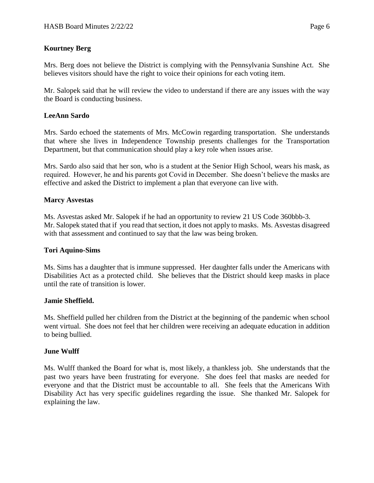# **Kourtney Berg**

Mrs. Berg does not believe the District is complying with the Pennsylvania Sunshine Act. She believes visitors should have the right to voice their opinions for each voting item.

Mr. Salopek said that he will review the video to understand if there are any issues with the way the Board is conducting business.

## **LeeAnn Sardo**

Mrs. Sardo echoed the statements of Mrs. McCowin regarding transportation. She understands that where she lives in Independence Township presents challenges for the Transportation Department, but that communication should play a key role when issues arise.

Mrs. Sardo also said that her son, who is a student at the Senior High School, wears his mask, as required. However, he and his parents got Covid in December. She doesn't believe the masks are effective and asked the District to implement a plan that everyone can live with.

#### **Marcy Asvestas**

Ms. Asvestas asked Mr. Salopek if he had an opportunity to review 21 US Code 360bbb-3. Mr. Salopek stated that if you read that section, it does not apply to masks. Ms. Asvestas disagreed with that assessment and continued to say that the law was being broken.

#### **Tori Aquino-Sims**

Ms. Sims has a daughter that is immune suppressed. Her daughter falls under the Americans with Disabilities Act as a protected child. She believes that the District should keep masks in place until the rate of transition is lower.

#### **Jamie Sheffield.**

Ms. Sheffield pulled her children from the District at the beginning of the pandemic when school went virtual. She does not feel that her children were receiving an adequate education in addition to being bullied.

#### **June Wulff**

Ms. Wulff thanked the Board for what is, most likely, a thankless job. She understands that the past two years have been frustrating for everyone. She does feel that masks are needed for everyone and that the District must be accountable to all. She feels that the Americans With Disability Act has very specific guidelines regarding the issue. She thanked Mr. Salopek for explaining the law.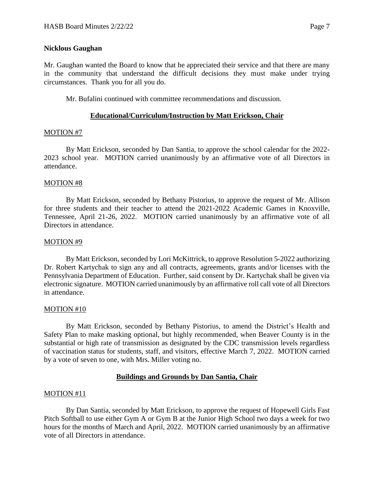Mr. Gaughan wanted the Board to know that he appreciated their service and that there are many in the community that understand the difficult decisions they must make under trying circumstances. Thank you for all you do.

Mr. Bufalini continued with committee recommendations and discussion.

# **Educational/Curriculum/Instruction by Matt Erickson, Chair**

# MOTION #7

By Matt Erickson, seconded by Dan Santia, to approve the school calendar for the 2022- 2023 school year. MOTION carried unanimously by an affirmative vote of all Directors in attendance.

## MOTION #8

By Matt Erickson, seconded by Bethany Pistorius, to approve the request of Mr. Allison for three students and their teacher to attend the 2021-2022 Academic Games in Knoxville, Tennessee, April 21-26, 2022. MOTION carried unanimously by an affirmative vote of all Directors in attendance.

#### MOTION #9

By Matt Erickson, seconded by Lori McKittrick, to approve Resolution 5-2022 authorizing Dr. Robert Kartychak to sign any and all contracts, agreements, grants and/or licenses with the Pennsylvania Department of Education. Further, said consent by Dr. Kartychak shall be given via electronic signature. MOTION carried unanimously by an affirmative roll call vote of all Directors in attendance.

#### MOTION #10

By Matt Erickson, seconded by Bethany Pistorius, to amend the District's Health and Safety Plan to make masking optional, but highly recommended, when Beaver County is in the substantial or high rate of transmission as designated by the CDC transmission levels regardless of vaccination status for students, staff, and visitors, effective March 7, 2022. MOTION carried by a vote of seven to one, with Mrs. Miller voting no.

# **Buildings and Grounds by Dan Santia, Chair**

#### MOTION #11

By Dan Santia, seconded by Matt Erickson, to approve the request of Hopewell Girls Fast Pitch Softball to use either Gym A or Gym B at the Junior High School two days a week for two hours for the months of March and April, 2022. MOTION carried unanimously by an affirmative vote of all Directors in attendance.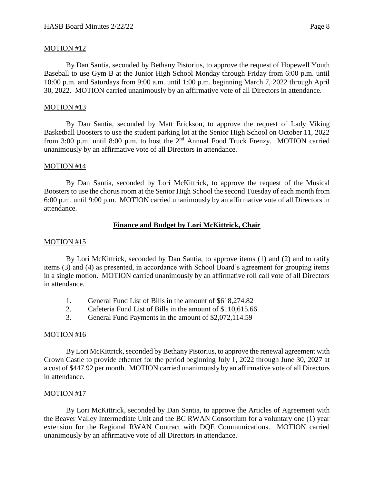#### MOTION #12

By Dan Santia, seconded by Bethany Pistorius, to approve the request of Hopewell Youth Baseball to use Gym B at the Junior High School Monday through Friday from 6:00 p.m. until 10:00 p.m. and Saturdays from 9:00 a.m. until 1:00 p.m. beginning March 7, 2022 through April 30, 2022. MOTION carried unanimously by an affirmative vote of all Directors in attendance.

#### MOTION #13

By Dan Santia, seconded by Matt Erickson, to approve the request of Lady Viking Basketball Boosters to use the student parking lot at the Senior High School on October 11, 2022 from 3:00 p.m. until 8:00 p.m. to host the  $2<sup>nd</sup>$  Annual Food Truck Frenzy. MOTION carried unanimously by an affirmative vote of all Directors in attendance.

#### MOTION #14

By Dan Santia, seconded by Lori McKittrick, to approve the request of the Musical Boosters to use the chorus room at the Senior High School the second Tuesday of each month from 6:00 p.m. until 9:00 p.m. MOTION carried unanimously by an affirmative vote of all Directors in attendance.

# **Finance and Budget by Lori McKittrick, Chair**

#### MOTION #15

By Lori McKittrick, seconded by Dan Santia, to approve items (1) and (2) and to ratify items (3) and (4) as presented, in accordance with School Board's agreement for grouping items in a single motion. MOTION carried unanimously by an affirmative roll call vote of all Directors in attendance.

- 1. General Fund List of Bills in the amount of \$618,274.82
- 2. Cafeteria Fund List of Bills in the amount of \$110,615.66
- 3. General Fund Payments in the amount of \$2,072,114.59

#### MOTION #16

By Lori McKittrick, seconded by Bethany Pistorius, to approve the renewal agreement with Crown Castle to provide ethernet for the period beginning July 1, 2022 through June 30, 2027 at a cost of \$447.92 per month. MOTION carried unanimously by an affirmative vote of all Directors in attendance.

#### MOTION #17

By Lori McKittrick, seconded by Dan Santia, to approve the Articles of Agreement with the Beaver Valley Intermediate Unit and the BC RWAN Consortium for a voluntary one (1) year extension for the Regional RWAN Contract with DQE Communications. MOTION carried unanimously by an affirmative vote of all Directors in attendance.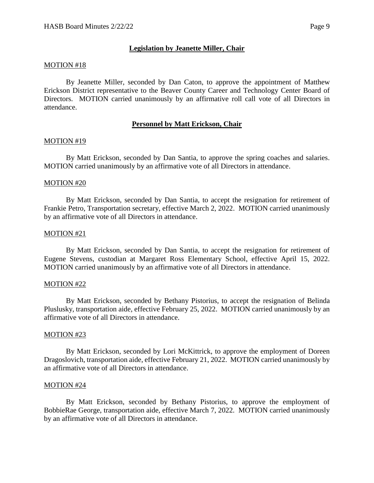## **Legislation by Jeanette Miller, Chair**

#### MOTION #18

By Jeanette Miller, seconded by Dan Caton, to approve the appointment of Matthew Erickson District representative to the Beaver County Career and Technology Center Board of Directors. MOTION carried unanimously by an affirmative roll call vote of all Directors in attendance.

#### **Personnel by Matt Erickson, Chair**

#### MOTION #19

By Matt Erickson, seconded by Dan Santia, to approve the spring coaches and salaries. MOTION carried unanimously by an affirmative vote of all Directors in attendance.

#### MOTION #20

By Matt Erickson, seconded by Dan Santia, to accept the resignation for retirement of Frankie Petro, Transportation secretary, effective March 2, 2022. MOTION carried unanimously by an affirmative vote of all Directors in attendance.

#### MOTION #21

By Matt Erickson, seconded by Dan Santia, to accept the resignation for retirement of Eugene Stevens, custodian at Margaret Ross Elementary School, effective April 15, 2022. MOTION carried unanimously by an affirmative vote of all Directors in attendance.

#### MOTION #22

By Matt Erickson, seconded by Bethany Pistorius, to accept the resignation of Belinda Pluslusky, transportation aide, effective February 25, 2022. MOTION carried unanimously by an affirmative vote of all Directors in attendance.

#### MOTION #23

By Matt Erickson, seconded by Lori McKittrick, to approve the employment of Doreen Dragoslovich, transportation aide, effective February 21, 2022. MOTION carried unanimously by an affirmative vote of all Directors in attendance.

#### MOTION #24

By Matt Erickson, seconded by Bethany Pistorius, to approve the employment of BobbieRae George, transportation aide, effective March 7, 2022. MOTION carried unanimously by an affirmative vote of all Directors in attendance.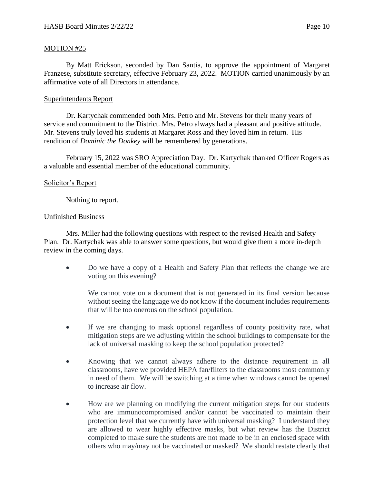## MOTION #25

By Matt Erickson, seconded by Dan Santia, to approve the appointment of Margaret Franzese, substitute secretary, effective February 23, 2022. MOTION carried unanimously by an affirmative vote of all Directors in attendance.

## Superintendents Report

Dr. Kartychak commended both Mrs. Petro and Mr. Stevens for their many years of service and commitment to the District. Mrs. Petro always had a pleasant and positive attitude. Mr. Stevens truly loved his students at Margaret Ross and they loved him in return. His rendition of *Dominic the Donkey* will be remembered by generations.

February 15, 2022 was SRO Appreciation Day. Dr. Kartychak thanked Officer Rogers as a valuable and essential member of the educational community.

#### Solicitor's Report

Nothing to report.

#### Unfinished Business

Mrs. Miller had the following questions with respect to the revised Health and Safety Plan. Dr. Kartychak was able to answer some questions, but would give them a more in-depth review in the coming days.

• Do we have a copy of a Health and Safety Plan that reflects the change we are voting on this evening?

We cannot vote on a document that is not generated in its final version because without seeing the language we do not know if the document includes requirements that will be too onerous on the school population.

- If we are changing to mask optional regardless of county positivity rate, what mitigation steps are we adjusting within the school buildings to compensate for the lack of universal masking to keep the school population protected?
- Knowing that we cannot always adhere to the distance requirement in all classrooms, have we provided HEPA fan/filters to the classrooms most commonly in need of them. We will be switching at a time when windows cannot be opened to increase air flow.
- How are we planning on modifying the current mitigation steps for our students who are immunocompromised and/or cannot be vaccinated to maintain their protection level that we currently have with universal masking? I understand they are allowed to wear highly effective masks, but what review has the District completed to make sure the students are not made to be in an enclosed space with others who may/may not be vaccinated or masked? We should restate clearly that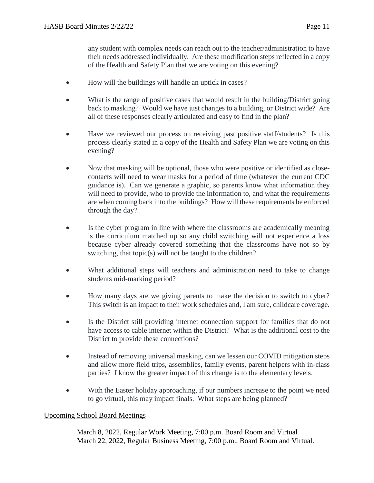any student with complex needs can reach out to the teacher/administration to have their needs addressed individually. Are these modification steps reflected in a copy of the Health and Safety Plan that we are voting on this evening?

- How will the buildings will handle an uptick in cases?
- What is the range of positive cases that would result in the building/District going back to masking? Would we have just changes to a building, or District wide? Are all of these responses clearly articulated and easy to find in the plan?
- Have we reviewed our process on receiving past positive staff/students? Is this process clearly stated in a copy of the Health and Safety Plan we are voting on this evening?
- Now that masking will be optional, those who were positive or identified as closecontacts will need to wear masks for a period of time (whatever the current CDC guidance is). Can we generate a graphic, so parents know what information they will need to provide, who to provide the information to, and what the requirements are when coming back into the buildings? How will these requirements be enforced through the day?
- Is the cyber program in line with where the classrooms are academically meaning is the curriculum matched up so any child switching will not experience a loss because cyber already covered something that the classrooms have not so by switching, that topic(s) will not be taught to the children?
- What additional steps will teachers and administration need to take to change students mid-marking period?
- How many days are we giving parents to make the decision to switch to cyber? This switch is an impact to their work schedules and, I am sure, childcare coverage.
- Is the District still providing internet connection support for families that do not have access to cable internet within the District? What is the additional cost to the District to provide these connections?
- Instead of removing universal masking, can we lessen our COVID mitigation steps and allow more field trips, assemblies, family events, parent helpers with in-class parties? I know the greater impact of this change is to the elementary levels.
- With the Easter holiday approaching, if our numbers increase to the point we need to go virtual, this may impact finals. What steps are being planned?

#### Upcoming School Board Meetings

March 8, 2022, Regular Work Meeting, 7:00 p.m. Board Room and Virtual March 22, 2022, Regular Business Meeting, 7:00 p.m., Board Room and Virtual.